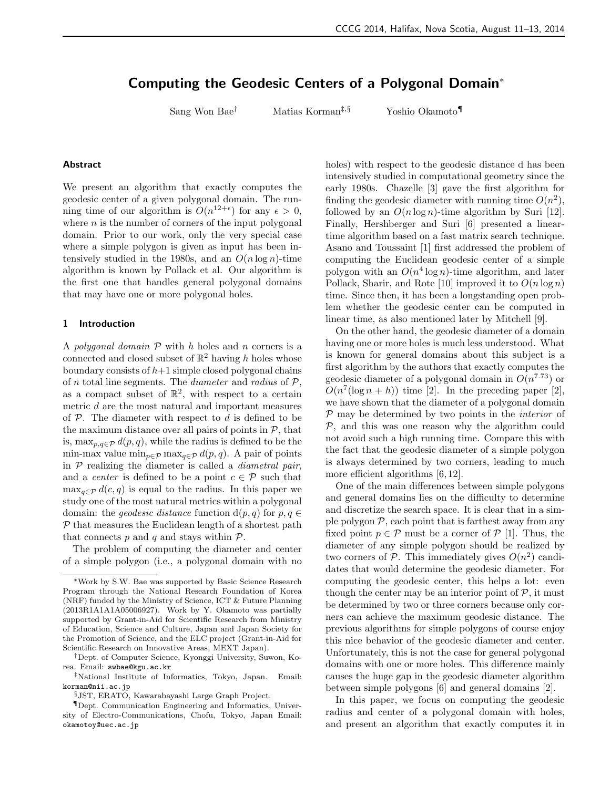# Computing the Geodesic Centers of a Polygonal Domain<sup>∗</sup>

Sang Won Bae<sup>†</sup> Matias Korman<sup>‡,§</sup> Yoshio Okamoto¶

## Abstract

We present an algorithm that exactly computes the geodesic center of a given polygonal domain. The running time of our algorithm is  $O(n^{12+\epsilon})$  for any  $\epsilon > 0$ , where  $n$  is the number of corners of the input polygonal domain. Prior to our work, only the very special case where a simple polygon is given as input has been intensively studied in the 1980s, and an  $O(n \log n)$ -time algorithm is known by Pollack et al. Our algorithm is the first one that handles general polygonal domains that may have one or more polygonal holes.

# 1 Introduction

A polygonal domain  $P$  with h holes and n corners is a connected and closed subset of  $\mathbb{R}^2$  having h holes whose boundary consists of  $h+1$  simple closed polygonal chains of n total line segments. The *diameter* and radius of  $P$ , as a compact subset of  $\mathbb{R}^2$ , with respect to a certain metric d are the most natural and important measures of  $P$ . The diameter with respect to d is defined to be the maximum distance over all pairs of points in  $P$ , that is, max $_{p,q\in\mathcal{P}} d(p,q)$ , while the radius is defined to be the min-max value  $\min_{p \in \mathcal{P}} \max_{q \in \mathcal{P}} d(p,q)$ . A pair of points in  $P$  realizing the diameter is called a *diametral pair*, and a *center* is defined to be a point  $c \in \mathcal{P}$  such that  $\max_{q \in \mathcal{P}} d(c, q)$  is equal to the radius. In this paper we study one of the most natural metrics within a polygonal domain: the *geodesic distance* function  $d(p, q)$  for  $p, q \in$  $P$  that measures the Euclidean length of a shortest path that connects  $p$  and  $q$  and stays within  $\mathcal{P}$ .

The problem of computing the diameter and center of a simple polygon (i.e., a polygonal domain with no holes) with respect to the geodesic distance d has been intensively studied in computational geometry since the early 1980s. Chazelle [3] gave the first algorithm for finding the geodesic diameter with running time  $O(n^2)$ , followed by an  $O(n \log n)$ -time algorithm by Suri [12]. Finally, Hershberger and Suri [6] presented a lineartime algorithm based on a fast matrix search technique. Asano and Toussaint [1] first addressed the problem of computing the Euclidean geodesic center of a simple polygon with an  $O(n^4 \log n)$ -time algorithm, and later Pollack, Sharir, and Rote [10] improved it to  $O(n \log n)$ time. Since then, it has been a longstanding open problem whether the geodesic center can be computed in linear time, as also mentioned later by Mitchell [9].

On the other hand, the geodesic diameter of a domain having one or more holes is much less understood. What is known for general domains about this subject is a first algorithm by the authors that exactly computes the geodesic diameter of a polygonal domain in  $O(n^{7.73})$  or  $O(n^7(\log n + h))$  time [2]. In the preceding paper [2], we have shown that the diameter of a polygonal domain  $P$  may be determined by two points in the *interior* of  $P$ , and this was one reason why the algorithm could not avoid such a high running time. Compare this with the fact that the geodesic diameter of a simple polygon is always determined by two corners, leading to much more efficient algorithms [6, 12].

One of the main differences between simple polygons and general domains lies on the difficulty to determine and discretize the search space. It is clear that in a simple polygon  $P$ , each point that is farthest away from any fixed point  $p \in \mathcal{P}$  must be a corner of  $\mathcal{P}$  [1]. Thus, the diameter of any simple polygon should be realized by two corners of  $P$ . This immediately gives  $O(n^2)$  candidates that would determine the geodesic diameter. For computing the geodesic center, this helps a lot: even though the center may be an interior point of  $P$ , it must be determined by two or three corners because only corners can achieve the maximum geodesic distance. The previous algorithms for simple polygons of course enjoy this nice behavior of the geodesic diameter and center. Unfortunately, this is not the case for general polygonal domains with one or more holes. This difference mainly causes the huge gap in the geodesic diameter algorithm between simple polygons [6] and general domains [2].

In this paper, we focus on computing the geodesic radius and center of a polygonal domain with holes, and present an algorithm that exactly computes it in

<sup>∗</sup>Work by S.W. Bae was supported by Basic Science Research Program through the National Research Foundation of Korea (NRF) funded by the Ministry of Science, ICT & Future Planning (2013R1A1A1A05006927). Work by Y. Okamoto was partially supported by Grant-in-Aid for Scientific Research from Ministry of Education, Science and Culture, Japan and Japan Society for the Promotion of Science, and the ELC project (Grant-in-Aid for Scientific Research on Innovative Areas, MEXT Japan).

<sup>†</sup>Dept. of Computer Science, Kyonggi University, Suwon, Korea. Email: swbae@kgu.ac.kr

<sup>‡</sup>National Institute of Informatics, Tokyo, Japan. Email: korman@nii.ac.jp

<sup>§</sup>JST, ERATO, Kawarabayashi Large Graph Project.

<sup>¶</sup>Dept. Communication Engineering and Informatics, University of Electro-Communications, Chofu, Tokyo, Japan Email: okamotoy@uec.ac.jp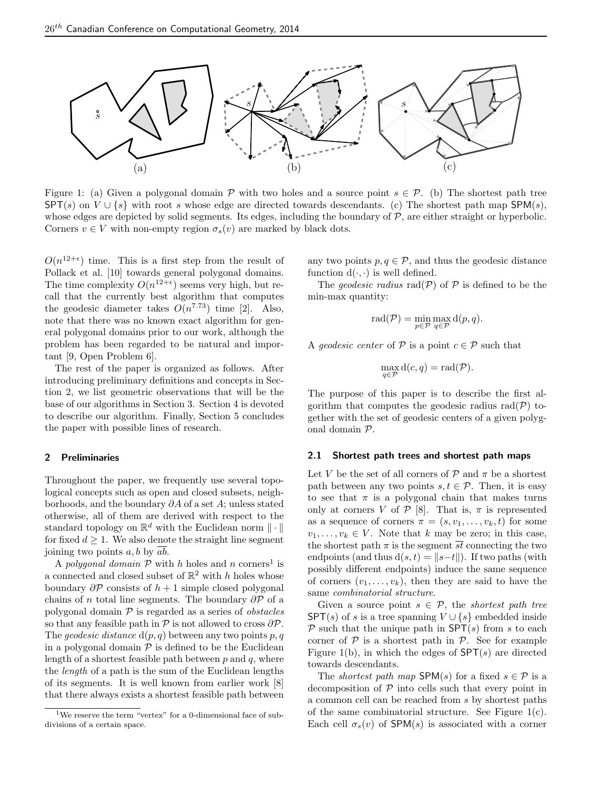

Figure 1: (a) Given a polygonal domain P with two holes and a source point  $s \in \mathcal{P}$ . (b) The shortest path tree  $SPT(s)$  on  $V \cup \{s\}$  with root s whose edge are directed towards descendants. (c) The shortest path map SPM(s), whose edges are depicted by solid segments. Its edges, including the boundary of  $P$ , are either straight or hyperbolic. Corners  $v \in V$  with non-empty region  $\sigma_s(v)$  are marked by black dots.

 $O(n^{12+\epsilon})$  time. This is a first step from the result of Pollack et al. [10] towards general polygonal domains. The time complexity  $O(n^{12+\epsilon})$  seems very high, but recall that the currently best algorithm that computes the geodesic diameter takes  $O(n^{7.73})$  time [2]. Also, note that there was no known exact algorithm for general polygonal domains prior to our work, although the problem has been regarded to be natural and important [9, Open Problem 6].

The rest of the paper is organized as follows. After introducing preliminary definitions and concepts in Section 2, we list geometric observations that will be the base of our algorithms in Section 3. Section 4 is devoted to describe our algorithm. Finally, Section 5 concludes the paper with possible lines of research.

## 2 Preliminaries

Throughout the paper, we frequently use several topological concepts such as open and closed subsets, neighborhoods, and the boundary ∂A of a set A; unless stated otherwise, all of them are derived with respect to the standard topology on  $\mathbb{R}^d$  with the Euclidean norm  $\|\cdot\|$ for fixed  $d \geq 1$ . We also denote the straight line segment joining two points  $a, b$  by  $ab$ .

A polygonal domain  $P$  with h holes and n corners<sup>1</sup> is a connected and closed subset of  $\mathbb{R}^2$  with h holes whose boundary  $\partial \mathcal{P}$  consists of  $h + 1$  simple closed polygonal chains of n total line segments. The boundary  $\partial \mathcal{P}$  of a polygonal domain  $P$  is regarded as a series of *obstacles* so that any feasible path in  $\mathcal P$  is not allowed to cross  $\partial \mathcal P$ . The *geodesic distance*  $d(p, q)$  between any two points p, q in a polygonal domain  $P$  is defined to be the Euclidean length of a shortest feasible path between  $p$  and  $q$ , where the length of a path is the sum of the Euclidean lengths of its segments. It is well known from earlier work [8] that there always exists a shortest feasible path between any two points  $p, q \in \mathcal{P}$ , and thus the geodesic distance function  $d(\cdot, \cdot)$  is well defined.

The *geodesic radius* rad( $P$ ) of  $P$  is defined to be the min-max quantity:

$$
rad(\mathcal{P}) = \min_{p \in \mathcal{P}} \max_{q \in \mathcal{P}} d(p, q).
$$

A *geodesic center* of  $P$  is a point  $c \in P$  such that

$$
\max_{q \in \mathcal{P}} d(c, q) = \text{rad}(\mathcal{P}).
$$

The purpose of this paper is to describe the first algorithm that computes the geodesic radius  $rad(P)$  together with the set of geodesic centers of a given polygonal domain P.

## 2.1 Shortest path trees and shortest path maps

Let V be the set of all corners of  $P$  and  $\pi$  be a shortest path between any two points  $s, t \in \mathcal{P}$ . Then, it is easy to see that  $\pi$  is a polygonal chain that makes turns only at corners V of  $P$  [8]. That is,  $\pi$  is represented as a sequence of corners  $\pi = (s, v_1, \ldots, v_k, t)$  for some  $v_1, \ldots, v_k \in V$ . Note that k may be zero; in this case, the shortest path  $\pi$  is the segment  $\overline{st}$  connecting the two endpoints (and thus  $d(s, t) = ||s-t||$ ). If two paths (with possibly different endpoints) induce the same sequence of corners  $(v_1, \ldots, v_k)$ , then they are said to have the same combinatorial structure.

Given a source point  $s \in \mathcal{P}$ , the *shortest path tree*  $SPT(s)$  of s is a tree spanning  $V \cup \{s\}$  embedded inside  $P$  such that the unique path in  $SPT(s)$  from s to each corner of  $P$  is a shortest path in  $P$ . See for example Figure 1(b), in which the edges of  $SPT(s)$  are directed towards descendants.

The *shortest path map*  $SPM(s)$  for a fixed  $s \in \mathcal{P}$  is a decomposition of  $P$  into cells such that every point in a common cell can be reached from s by shortest paths of the same combinatorial structure. See Figure 1(c). Each cell  $\sigma_s(v)$  of SPM(s) is associated with a corner

<sup>&</sup>lt;sup>1</sup>We reserve the term "vertex" for a 0-dimensional face of subdivisions of a certain space.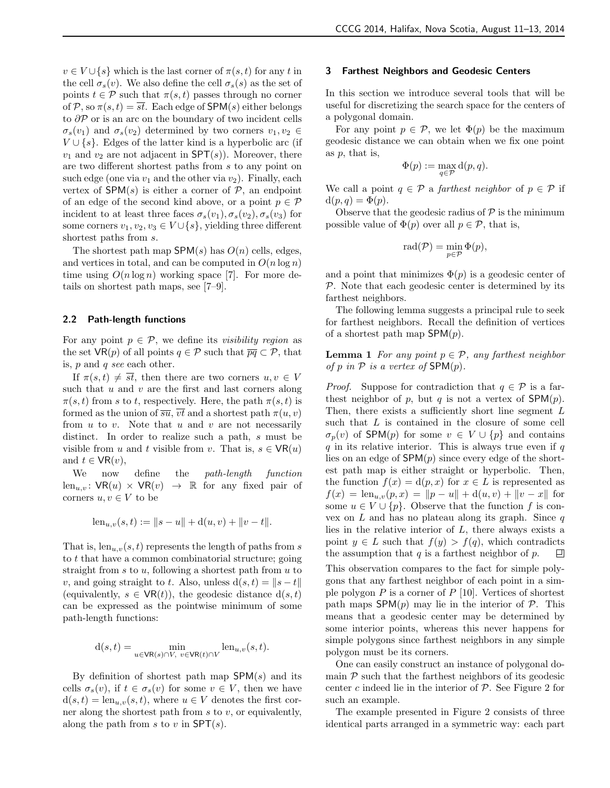$v \in V \cup \{s\}$  which is the last corner of  $\pi(s, t)$  for any t in the cell  $\sigma_s(v)$ . We also define the cell  $\sigma_s(s)$  as the set of points  $t \in \mathcal{P}$  such that  $\pi(s, t)$  passes through no corner of P, so  $\pi(s,t) = \overline{st}$ . Each edge of SPM(s) either belongs to  $\partial P$  or is an arc on the boundary of two incident cells  $\sigma_s(v_1)$  and  $\sigma_s(v_2)$  determined by two corners  $v_1, v_2 \in$  $V \cup \{s\}$ . Edges of the latter kind is a hyperbolic arc (if  $v_1$  and  $v_2$  are not adjacent in SPT(s)). Moreover, there are two different shortest paths from s to any point on such edge (one via  $v_1$  and the other via  $v_2$ ). Finally, each vertex of  $SPM(s)$  is either a corner of  $P$ , an endpoint of an edge of the second kind above, or a point  $p \in \mathcal{P}$ incident to at least three faces  $\sigma_s(v_1), \sigma_s(v_2), \sigma_s(v_3)$  for some corners  $v_1, v_2, v_3 \in V \cup \{s\}$ , yielding three different shortest paths from s.

The shortest path map  $SPM(s)$  has  $O(n)$  cells, edges, and vertices in total, and can be computed in  $O(n \log n)$ time using  $O(n \log n)$  working space [7]. For more details on shortest path maps, see [7–9].

#### 2.2 Path-length functions

For any point  $p \in \mathcal{P}$ , we define its *visibility region* as the set  $\mathsf{VR}(p)$  of all points  $q \in \mathcal{P}$  such that  $\overline{pq} \subset \mathcal{P}$ , that is, p and q see each other.

If  $\pi(s,t) \neq \overline{st}$ , then there are two corners  $u, v \in V$ such that  $u$  and  $v$  are the first and last corners along  $\pi(s,t)$  from s to t, respectively. Here, the path  $\pi(s,t)$  is formed as the union of  $\overline{su}$ ,  $\overline{vt}$  and a shortest path  $\pi(u, v)$ from  $u$  to  $v$ . Note that  $u$  and  $v$  are not necessarily distinct. In order to realize such a path, s must be visible from u and t visible from v. That is,  $s \in \mathsf{VR}(u)$ and  $t \in \mathsf{VR}(v)$ ,

We now define the *path-length function*  $len_{u,v}$ :  $VR(u) \times VR(v) \rightarrow \mathbb{R}$  for any fixed pair of corners  $u, v \in V$  to be

$$
len_{u,v}(s,t) := ||s - u|| + d(u,v) + ||v - t||.
$$

That is,  $len_{u,v}(s, t)$  represents the length of paths from s to t that have a common combinatorial structure; going straight from  $s$  to  $u$ , following a shortest path from  $u$  to v, and going straight to t. Also, unless  $d(s, t) = ||s - t||$ (equivalently,  $s \in \text{VR}(t)$ ), the geodesic distance  $d(s, t)$ can be expressed as the pointwise minimum of some path-length functions:

$$
\mathbf{d}(s,t) = \min_{u \in \mathbf{VR}(s) \cap V, \ v \in \mathbf{VR}(t) \cap V} \text{len}_{u,v}(s,t).
$$

By definition of shortest path map  $SPM(s)$  and its cells  $\sigma_s(v)$ , if  $t \in \sigma_s(v)$  for some  $v \in V$ , then we have  $d(s,t) = \text{len}_{u,v}(s,t)$ , where  $u \in V$  denotes the first corner along the shortest path from  $s$  to  $v$ , or equivalently, along the path from s to v in  $SPT(s)$ .

## 3 Farthest Neighbors and Geodesic Centers

In this section we introduce several tools that will be useful for discretizing the search space for the centers of a polygonal domain.

For any point  $p \in \mathcal{P}$ , we let  $\Phi(p)$  be the maximum geodesic distance we can obtain when we fix one point as  $p$ , that is,

$$
\Phi(p) := \max_{q \in \mathcal{P}} d(p, q).
$$

We call a point  $q \in \mathcal{P}$  a *farthest neighbor* of  $p \in \mathcal{P}$  if  $d(p,q) = \Phi(p).$ 

Observe that the geodesic radius of  $P$  is the minimum possible value of  $\Phi(p)$  over all  $p \in \mathcal{P}$ , that is,

$$
\mathrm{rad}(\mathcal{P})=\min_{p\in\mathcal{P}}\Phi(p),
$$

and a point that minimizes  $\Phi(p)$  is a geodesic center of  $P$ . Note that each geodesic center is determined by its farthest neighbors.

The following lemma suggests a principal rule to seek for farthest neighbors. Recall the definition of vertices of a shortest path map  ${\sf SPM}(p)$ .

**Lemma 1** For any point  $p \in \mathcal{P}$ , any farthest neighbor of p in  $P$  is a vertex of  $SPM(p)$ .

*Proof.* Suppose for contradiction that  $q \in \mathcal{P}$  is a farthest neighbor of p, but q is not a vertex of  $SPM(p)$ . Then, there exists a sufficiently short line segment  $L$ such that L is contained in the closure of some cell  $\sigma_p(v)$  of SPM(p) for some  $v \in V \cup \{p\}$  and contains  $q$  in its relative interior. This is always true even if  $q$ lies on an edge of  $SPM(p)$  since every edge of the shortest path map is either straight or hyperbolic. Then, the function  $f(x) = d(p, x)$  for  $x \in L$  is represented as  $f(x) = \text{len}_{u,v}(p, x) = ||p - u|| + d(u, v) + ||v - x||$  for some  $u \in V \cup \{p\}$ . Observe that the function f is convex on  $L$  and has no plateau along its graph. Since  $q$ lies in the relative interior of  $L$ , there always exists a point  $y \in L$  such that  $f(y) > f(q)$ , which contradicts the assumption that  $q$  is a farthest neighbor of  $p$ . ▣

This observation compares to the fact for simple polygons that any farthest neighbor of each point in a simple polygon  $P$  is a corner of  $P$  [10]. Vertices of shortest path maps  $SPM(p)$  may lie in the interior of  $\mathcal{P}$ . This means that a geodesic center may be determined by some interior points, whereas this never happens for simple polygons since farthest neighbors in any simple polygon must be its corners.

One can easily construct an instance of polygonal domain  $P$  such that the farthest neighbors of its geodesic center c indeed lie in the interior of  $P$ . See Figure 2 for such an example.

The example presented in Figure 2 consists of three identical parts arranged in a symmetric way: each part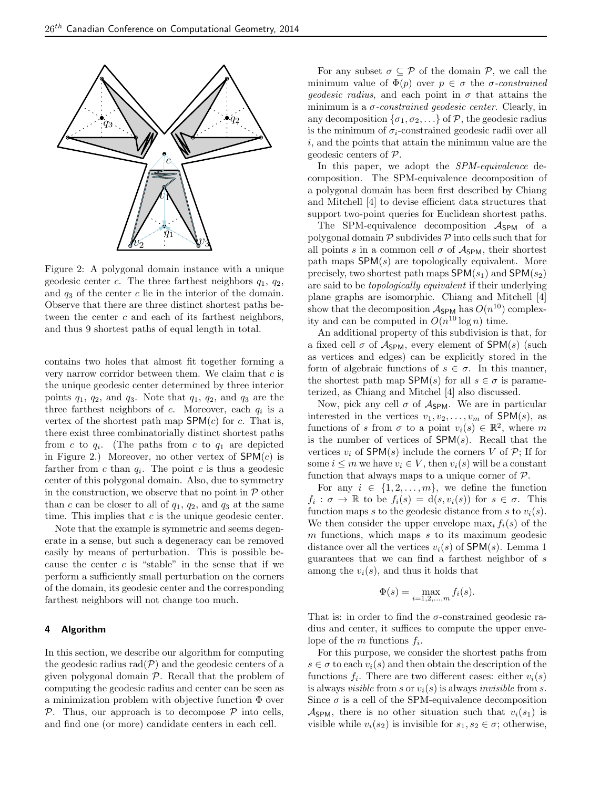

Figure 2: A polygonal domain instance with a unique geodesic center c. The three farthest neighbors  $q_1$ ,  $q_2$ , and  $q_3$  of the center c lie in the interior of the domain. Observe that there are three distinct shortest paths between the center c and each of its farthest neighbors, and thus 9 shortest paths of equal length in total.

contains two holes that almost fit together forming a very narrow corridor between them. We claim that  $c$  is the unique geodesic center determined by three interior points  $q_1$ ,  $q_2$ , and  $q_3$ . Note that  $q_1$ ,  $q_2$ , and  $q_3$  are the three farthest neighbors of  $c$ . Moreover, each  $q_i$  is a vertex of the shortest path map  $SPM(c)$  for c. That is, there exist three combinatorially distinct shortest paths from c to  $q_i$ . (The paths from c to  $q_1$  are depicted in Figure 2.) Moreover, no other vertex of  $SPM(c)$  is farther from  $c$  than  $q_i$ . The point  $c$  is thus a geodesic center of this polygonal domain. Also, due to symmetry in the construction, we observe that no point in  $P$  other than c can be closer to all of  $q_1$ ,  $q_2$ , and  $q_3$  at the same time. This implies that  $c$  is the unique geodesic center.

Note that the example is symmetric and seems degenerate in a sense, but such a degeneracy can be removed easily by means of perturbation. This is possible because the center  $c$  is "stable" in the sense that if we perform a sufficiently small perturbation on the corners of the domain, its geodesic center and the corresponding farthest neighbors will not change too much.

#### 4 Algorithm

In this section, we describe our algorithm for computing the geodesic radius  $rad(P)$  and the geodesic centers of a given polygonal domain  $P$ . Recall that the problem of computing the geodesic radius and center can be seen as a minimization problem with objective function Φ over  $\mathcal{P}$ . Thus, our approach is to decompose  $\mathcal{P}$  into cells, and find one (or more) candidate centers in each cell.

For any subset  $\sigma \subseteq \mathcal{P}$  of the domain  $\mathcal{P}$ , we call the minimum value of  $\Phi(p)$  over  $p \in \sigma$  the *σ*-constrained *geodesic radius*, and each point in  $\sigma$  that attains the minimum is a  $\sigma$ -constrained geodesic center. Clearly, in any decomposition  $\{\sigma_1, \sigma_2, \ldots\}$  of P, the geodesic radius is the minimum of  $\sigma_i$ -constrained geodesic radii over all  $i$ , and the points that attain the minimum value are the geodesic centers of P.

In this paper, we adopt the SPM-equivalence decomposition. The SPM-equivalence decomposition of a polygonal domain has been first described by Chiang and Mitchell [4] to devise efficient data structures that support two-point queries for Euclidean shortest paths.

The SPM-equivalence decomposition  $A_{SPM}$  of a polygonal domain  $P$  subdivides  $P$  into cells such that for all points s in a common cell  $\sigma$  of  $A_{SPM}$ , their shortest path maps  $SPM(s)$  are topologically equivalent. More precisely, two shortest path maps  ${\sf SPM}(s_1)$  and  ${\sf SPM}(s_2)$ are said to be topologically equivalent if their underlying plane graphs are isomorphic. Chiang and Mitchell [4] show that the decomposition  $A_{\text{SPM}}$  has  $O(n^{10})$  complexity and can be computed in  $O(n^{10} \log n)$  time.

An additional property of this subdivision is that, for a fixed cell  $\sigma$  of  $\mathcal{A}_{SPM}$ , every element of SPM(s) (such as vertices and edges) can be explicitly stored in the form of algebraic functions of  $s \in \sigma$ . In this manner, the shortest path map  ${\sf SPM}(s)$  for all  $s \in \sigma$  is parameterized, as Chiang and Mitchel [4] also discussed.

Now, pick any cell  $\sigma$  of  $\mathcal{A}_{SPM}$ . We are in particular interested in the vertices  $v_1, v_2, \ldots, v_m$  of SPM(s), as functions of s from  $\sigma$  to a point  $v_i(s) \in \mathbb{R}^2$ , where m is the number of vertices of  $SPM(s)$ . Recall that the vertices  $v_i$  of SPM(s) include the corners V of  $\mathcal{P}$ ; If for some  $i \leq m$  we have  $v_i \in V$ , then  $v_i(s)$  will be a constant function that always maps to a unique corner of  $P$ .

For any  $i \in \{1, 2, ..., m\}$ , we define the function  $f_i: \sigma \to \mathbb{R}$  to be  $f_i(s) = d(s, v_i(s))$  for  $s \in \sigma$ . This function maps s to the geodesic distance from s to  $v_i(s)$ . We then consider the upper envelope  $\max_i f_i(s)$  of the  $m$  functions, which maps  $s$  to its maximum geodesic distance over all the vertices  $v_i(s)$  of SPM(s). Lemma 1 guarantees that we can find a farthest neighbor of s among the  $v_i(s)$ , and thus it holds that

$$
\Phi(s) = \max_{i=1,2,\dots,m} f_i(s).
$$

That is: in order to find the  $\sigma$ -constrained geodesic radius and center, it suffices to compute the upper envelope of the  $m$  functions  $f_i$ .

For this purpose, we consider the shortest paths from  $s \in \sigma$  to each  $v_i(s)$  and then obtain the description of the functions  $f_i$ . There are two different cases: either  $v_i(s)$ is always *visible* from s or  $v_i(s)$  is always *invisible* from s. Since  $\sigma$  is a cell of the SPM-equivalence decomposition  $\mathcal{A}_{\text{SPM}}$ , there is no other situation such that  $v_i(s_1)$  is visible while  $v_i(s_2)$  is invisible for  $s_1, s_2 \in \sigma$ ; otherwise,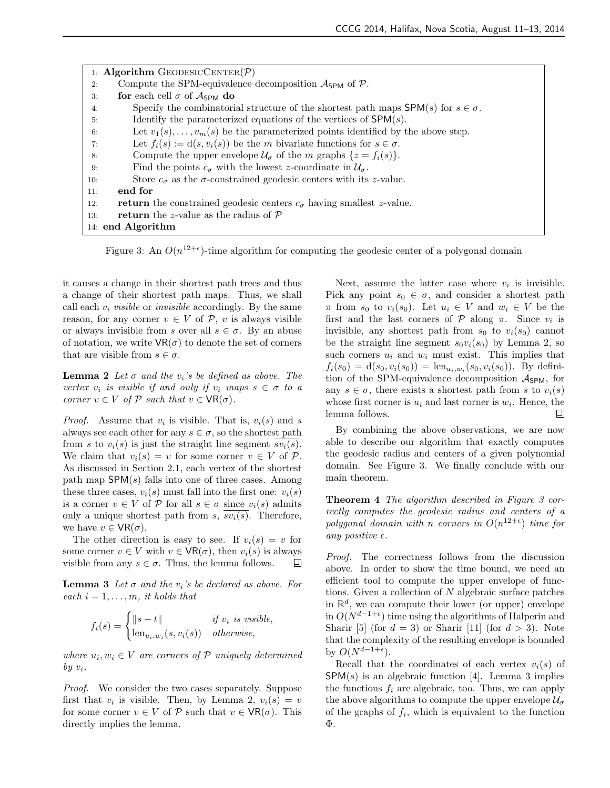|     | 1: Algorithm GEODESICCENTER $(\mathcal{P})$                                                       |
|-----|---------------------------------------------------------------------------------------------------|
| 2:  | Compute the SPM-equivalence decomposition $\mathcal{A}_{SPM}$ of $\mathcal{P}$ .                  |
| 3:  | for each cell $\sigma$ of $A_{SPM}$ do                                                            |
| 4:  | Specify the combinatorial structure of the shortest path maps ${\sf SPM}(s)$ for $s \in \sigma$ . |
| 5:  | Identify the parameterized equations of the vertices of $SPM(s)$ .                                |
| 6:  | Let $v_1(s), \ldots, v_m(s)$ be the parameterized points identified by the above step.            |
| 7:  | Let $f_i(s) := d(s, v_i(s))$ be the m bivariate functions for $s \in \sigma$ .                    |
| 8:  | Compute the upper envelope $\mathcal{U}_{\sigma}$ of the <i>m</i> graphs $\{z = f_i(s)\}.$        |
| 9:  | Find the points $c_{\sigma}$ with the lowest z-coordinate in $\mathcal{U}_{\sigma}$ .             |
| 10: | Store $c_{\sigma}$ as the $\sigma$ -constrained geodesic centers with its z-value.                |
| 11: | end for                                                                                           |
| 12: | <b>return</b> the constrained geodesic centers $c_{\sigma}$ having smallest z-value.              |
| 13: | <b>return</b> the z-value as the radius of $\mathcal{P}$                                          |
|     | 14: end Algorithm                                                                                 |

Figure 3: An  $O(n^{12+\epsilon})$ -time algorithm for computing the geodesic center of a polygonal domain

it causes a change in their shortest path trees and thus a change of their shortest path maps. Thus, we shall call each  $v_i$  visible or invisible accordingly. By the same reason, for any corner  $v \in V$  of  $P$ , v is always visible or always invisible from s over all  $s \in \sigma$ . By an abuse of notation, we write  $VR(\sigma)$  to denote the set of corners that are visible from  $s \in \sigma$ .

**Lemma 2** Let  $\sigma$  and the  $v_i$ 's be defined as above. The vertex  $v_i$  is visible if and only if  $v_i$  maps  $s \in \sigma$  to a corner  $v \in V$  of  $P$  such that  $v \in \mathsf{VR}(\sigma)$ .

*Proof.* Assume that  $v_i$  is visible. That is,  $v_i(s)$  and s always see each other for any  $s \in \sigma$ , so the shortest path from s to  $v_i(s)$  is just the straight line segment  $sv_i(s)$ . We claim that  $v_i(s) = v$  for some corner  $v \in V$  of  $\mathcal{P}$ . As discussed in Section 2.1, each vertex of the shortest path map  $SPM(s)$  falls into one of three cases. Among these three cases,  $v_i(s)$  must fall into the first one:  $v_i(s)$ is a corner  $v \in V$  of  $P$  for all  $s \in \sigma$  since  $v_i(s)$  admits only a unique shortest path from s,  $\overline{sv_i(s)}$ . Therefore, we have  $v \in \mathsf{VR}(\sigma)$ .

The other direction is easy to see. If  $v_i(s) = v$  for some corner  $v \in V$  with  $v \in \mathsf{VR}(\sigma)$ , then  $v_i(s)$  is always visible from any  $s \in \sigma$ . Thus, the lemma follows. НI

**Lemma 3** Let  $\sigma$  and the  $v_i$ 's be declared as above. For each  $i = 1, \ldots, m$ , it holds that

$$
f_i(s) = \begin{cases} ||s - t|| & \text{if } v_i \text{ is visible,} \\ \text{len}_{u_i, w_i}(s, v_i(s)) & \text{otherwise,} \end{cases}
$$

where  $u_i, w_i \in V$  are corners of  $P$  uniquely determined by  $v_i$ .

Proof. We consider the two cases separately. Suppose first that  $v_i$  is visible. Then, by Lemma 2,  $v_i(s) = v$ for some corner  $v \in V$  of  $P$  such that  $v \in VR(\sigma)$ . This directly implies the lemma.

Next, assume the latter case where  $v_i$  is invisible. Pick any point  $s_0 \in \sigma$ , and consider a shortest path  $\pi$  from  $s_0$  to  $v_i(s_0)$ . Let  $u_i \in V$  and  $w_i \in V$  be the first and the last corners of  $P$  along  $\pi$ . Since  $v_i$  is invisible, any shortest path from  $s_0$  to  $v_i(s_0)$  cannot be the straight line segment  $s_0v_i(s_0)$  by Lemma 2, so such corners  $u_i$  and  $w_i$  must exist. This implies that  $f_i(s_0) = d(s_0, v_i(s_0)) = \text{len}_{u_i, w_i}(s_0, v_i(s_0)).$  By definition of the SPM-equivalence decomposition  $A_{\mathsf{SPM}}$ , for any  $s \in \sigma$ , there exists a shortest path from s to  $v_i(s)$ whose first corner is  $u_i$  and last corner is  $w_i$ . Hence, the lemma follows. 口

By combining the above observations, we are now able to describe our algorithm that exactly computes the geodesic radius and centers of a given polynomial domain. See Figure 3. We finally conclude with our main theorem.

Theorem 4 The algorithm described in Figure 3 correctly computes the geodesic radius and centers of a polygonal domain with n corners in  $O(n^{12+\epsilon})$  time for any positive  $\epsilon$ .

Proof. The correctness follows from the discussion above. In order to show the time bound, we need an efficient tool to compute the upper envelope of functions. Given a collection of N algebraic surface patches in  $\mathbb{R}^d$ , we can compute their lower (or upper) envelope in  $O(N^{d-1+\epsilon})$  time using the algorithms of Halperin and Sharir [5] (for  $d = 3$ ) or Sharir [11] (for  $d > 3$ ). Note that the complexity of the resulting envelope is bounded by  $O(N^{d-1+\epsilon})$ .

Recall that the coordinates of each vertex  $v_i(s)$  of  ${\sf SPM}(s)$  is an algebraic function [4]. Lemma 3 implies the functions  $f_i$  are algebraic, too. Thus, we can apply the above algorithms to compute the upper envelope  $\mathcal{U}_{\sigma}$ of the graphs of  $f_i$ , which is equivalent to the function Φ.